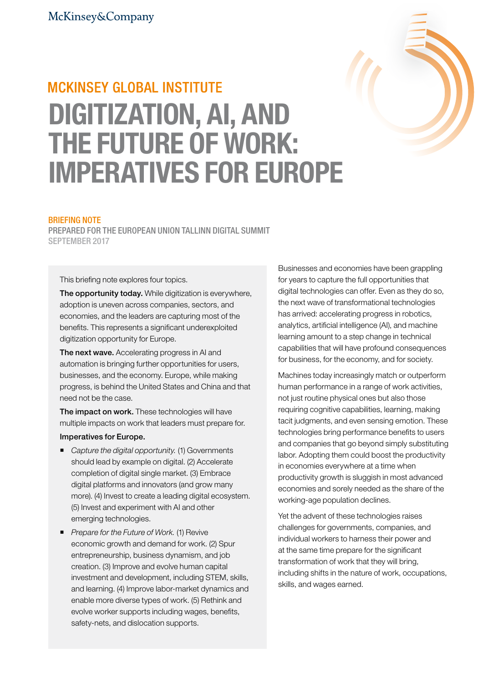# **MCKINSEY GLOBAL INSTITUTE** DIGITIZATION, AI, AND THE FUTURE OF WORK: IMPERATIVES FOR EUROPE

## BRIEFING NOTE

PREPARED FOR THE EUROPEAN UNION TALLINN DIGITAL SUMMIT SEPTEMBER 2017

This briefing note explores four topics.

The opportunity today. While digitization is everywhere, adoption is uneven across companies, sectors, and economies, and the leaders are capturing most of the benefits. This represents a significant underexploited digitization opportunity for Europe.

The next wave. Accelerating progress in AI and automation is bringing further opportunities for users, businesses, and the economy. Europe, while making progress, is behind the United States and China and that need not be the case.

The impact on work. These technologies will have multiple impacts on work that leaders must prepare for.

## Imperatives for Europe.

- Capture the digital opportunity. (1) Governments should lead by example on digital. (2) Accelerate completion of digital single market. (3) Embrace digital platforms and innovators (and grow many more). (4) Invest to create a leading digital ecosystem. (5) Invest and experiment with AI and other emerging technologies.
- *Prepare for the Future of Work.* (1) Revive economic growth and demand for work. (2) Spur entrepreneurship, business dynamism, and job creation. (3) Improve and evolve human capital investment and development, including STEM, skills, and learning. (4) Improve labor-market dynamics and enable more diverse types of work. (5) Rethink and evolve worker supports including wages, benefits, safety-nets, and dislocation supports.

Businesses and economies have been grappling for years to capture the full opportunities that digital technologies can offer. Even as they do so, the next wave of transformational technologies has arrived: accelerating progress in robotics, analytics, artificial intelligence (AI), and machine learning amount to a step change in technical capabilities that will have profound consequences for business, for the economy, and for society.

Machines today increasingly match or outperform human performance in a range of work activities, not just routine physical ones but also those requiring cognitive capabilities, learning, making tacit judgments, and even sensing emotion. These technologies bring performance benefits to users and companies that go beyond simply substituting labor. Adopting them could boost the productivity in economies everywhere at a time when productivity growth is sluggish in most advanced economies and sorely needed as the share of the working-age population declines.

Yet the advent of these technologies raises challenges for governments, companies, and individual workers to harness their power and at the same time prepare for the significant transformation of work that they will bring, including shifts in the nature of work, occupations, skills, and wages earned.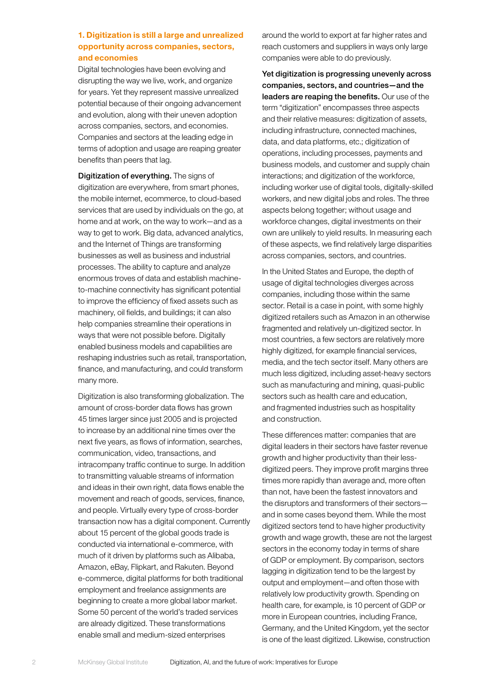# 1. Digitization is still a large and unrealized opportunity across companies, sectors, and economies

Digital technologies have been evolving and disrupting the way we live, work, and organize for years. Yet they represent massive unrealized potential because of their ongoing advancement and evolution, along with their uneven adoption across companies, sectors, and economies. Companies and sectors at the leading edge in terms of adoption and usage are reaping greater benefits than peers that lag.

Digitization of everything. The signs of digitization are everywhere, from smart phones, the mobile internet, ecommerce, to cloud-based services that are used by individuals on the go, at home and at work, on the way to work—and as a way to get to work. Big data, advanced analytics, and the Internet of Things are transforming businesses as well as business and industrial processes. The ability to capture and analyze enormous troves of data and establish machineto-machine connectivity has significant potential to improve the efficiency of fixed assets such as machinery, oil fields, and buildings; it can also help companies streamline their operations in ways that were not possible before. Digitally enabled business models and capabilities are reshaping industries such as retail, transportation, finance, and manufacturing, and could transform many more.

Digitization is also transforming globalization. The amount of cross-border data flows has grown 45 times larger since just 2005 and is projected to increase by an additional nine times over the next five years, as flows of information, searches, communication, video, transactions, and intracompany traffic continue to surge. In addition to transmitting valuable streams of information and ideas in their own right, data flows enable the movement and reach of goods, services, finance, and people. Virtually every type of cross-border transaction now has a digital component. Currently about 15 percent of the global goods trade is conducted via international e-commerce, with much of it driven by platforms such as Alibaba, Amazon, eBay, Flipkart, and Rakuten. Beyond e-commerce, digital platforms for both traditional employment and freelance assignments are beginning to create a more global labor market. Some 50 percent of the world's traded services are already digitized. These transformations enable small and medium-sized enterprises

around the world to export at far higher rates and reach customers and suppliers in ways only large companies were able to do previously.

Yet digitization is progressing unevenly across companies, sectors, and countries—and the leaders are reaping the benefits. Our use of the term "digitization" encompasses three aspects and their relative measures: digitization of assets, including infrastructure, connected machines, data, and data platforms, etc.; digitization of operations, including processes, payments and business models, and customer and supply chain interactions; and digitization of the workforce, including worker use of digital tools, digitally-skilled workers, and new digital jobs and roles. The three aspects belong together; without usage and workforce changes, digital investments on their own are unlikely to yield results. In measuring each of these aspects, we find relatively large disparities across companies, sectors, and countries.

In the United States and Europe, the depth of usage of digital technologies diverges across companies, including those within the same sector. Retail is a case in point, with some highly digitized retailers such as Amazon in an otherwise fragmented and relatively un-digitized sector. In most countries, a few sectors are relatively more highly digitized, for example financial services, media, and the tech sector itself. Many others are much less digitized, including asset-heavy sectors such as manufacturing and mining, quasi-public sectors such as health care and education, and fragmented industries such as hospitality and construction.

These differences matter: companies that are digital leaders in their sectors have faster revenue growth and higher productivity than their lessdigitized peers. They improve profit margins three times more rapidly than average and, more often than not, have been the fastest innovators and the disruptors and transformers of their sectors and in some cases beyond them. While the most digitized sectors tend to have higher productivity growth and wage growth, these are not the largest sectors in the economy today in terms of share of GDP or employment. By comparison, sectors lagging in digitization tend to be the largest by output and employment—and often those with relatively low productivity growth. Spending on health care, for example, is 10 percent of GDP or more in European countries, including France, Germany, and the United Kingdom, yet the sector is one of the least digitized. Likewise, construction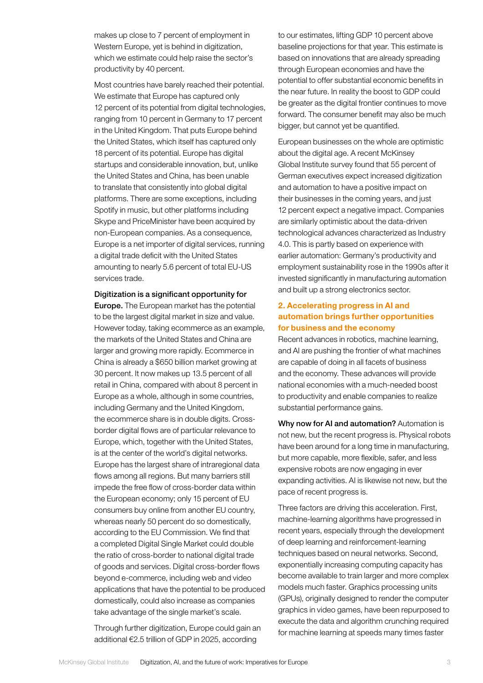makes up close to 7 percent of employment in Western Europe, yet is behind in digitization, which we estimate could help raise the sector's productivity by 40 percent.

Most countries have barely reached their potential. We estimate that Europe has captured only 12 percent of its potential from digital technologies, ranging from 10 percent in Germany to 17 percent in the United Kingdom. That puts Europe behind the United States, which itself has captured only 18 percent of its potential. Europe has digital startups and considerable innovation, but, unlike the United States and China, has been unable to translate that consistently into global digital platforms. There are some exceptions, including Spotify in music, but other platforms including Skype and PriceMinister have been acquired by non-European companies. As a consequence, Europe is a net importer of digital services, running a digital trade deficit with the United States amounting to nearly 5.6 percent of total EU-US services trade.

Digitization is a significant opportunity for

Europe. The European market has the potential to be the largest digital market in size and value. However today, taking ecommerce as an example, the markets of the United States and China are larger and growing more rapidly. Ecommerce in China is already a \$650 billion market growing at 30 percent. It now makes up 13.5 percent of all retail in China, compared with about 8 percent in Europe as a whole, although in some countries, including Germany and the United Kingdom, the ecommerce share is in double digits. Crossborder digital flows are of particular relevance to Europe, which, together with the United States, is at the center of the world's digital networks. Europe has the largest share of intraregional data flows among all regions. But many barriers still impede the free flow of cross-border data within the European economy; only 15 percent of EU consumers buy online from another EU country, whereas nearly 50 percent do so domestically, according to the EU Commission. We find that a completed Digital Single Market could double the ratio of cross-border to national digital trade of goods and services. Digital cross-border flows beyond e-commerce, including web and video applications that have the potential to be produced domestically, could also increase as companies take advantage of the single market's scale.

Through further digitization, Europe could gain an additional €2.5 trillion of GDP in 2025, according

to our estimates, lifting GDP 10 percent above baseline projections for that year. This estimate is based on innovations that are already spreading through European economies and have the potential to offer substantial economic benefits in the near future. In reality the boost to GDP could be greater as the digital frontier continues to move forward. The consumer benefit may also be much bigger, but cannot yet be quantified.

European businesses on the whole are optimistic about the digital age. A recent McKinsey Global Institute survey found that 55 percent of German executives expect increased digitization and automation to have a positive impact on their businesses in the coming years, and just 12 percent expect a negative impact. Companies are similarly optimistic about the data-driven technological advances characterized as Industry 4.0. This is partly based on experience with earlier automation: Germany's productivity and employment sustainability rose in the 1990s after it invested significantly in manufacturing automation and built up a strong electronics sector.

# 2. Accelerating progress in AI and automation brings further opportunities for business and the economy

Recent advances in robotics, machine learning, and AI are pushing the frontier of what machines are capable of doing in all facets of business and the economy. These advances will provide national economies with a much-needed boost to productivity and enable companies to realize substantial performance gains.

Why now for AI and automation? Automation is not new, but the recent progress is. Physical robots have been around for a long time in manufacturing, but more capable, more flexible, safer, and less expensive robots are now engaging in ever expanding activities. AI is likewise not new, but the pace of recent progress is.

Three factors are driving this acceleration. First, machine-learning algorithms have progressed in recent years, especially through the development of deep learning and reinforcement-learning techniques based on neural networks. Second, exponentially increasing computing capacity has become available to train larger and more complex models much faster. Graphics processing units (GPUs), originally designed to render the computer graphics in video games, have been repurposed to execute the data and algorithm crunching required for machine learning at speeds many times faster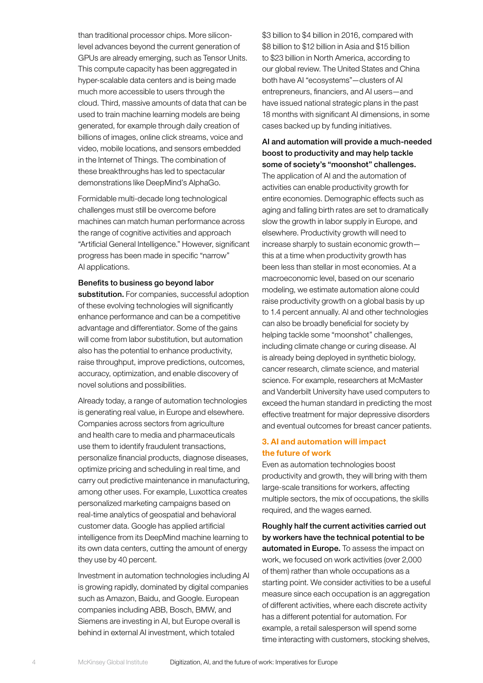than traditional processor chips. More siliconlevel advances beyond the current generation of GPUs are already emerging, such as Tensor Units. This compute capacity has been aggregated in hyper-scalable data centers and is being made much more accessible to users through the cloud. Third, massive amounts of data that can be used to train machine learning models are being generated, for example through daily creation of billions of images, online click streams, voice and video, mobile locations, and sensors embedded in the Internet of Things. The combination of these breakthroughs has led to spectacular demonstrations like DeepMind's AlphaGo.

Formidable multi-decade long technological challenges must still be overcome before machines can match human performance across the range of cognitive activities and approach "Artificial General Intelligence." However, significant progress has been made in specific "narrow" AI applications.

## Benefits to business go beyond labor

substitution. For companies, successful adoption of these evolving technologies will significantly enhance performance and can be a competitive advantage and differentiator. Some of the gains will come from labor substitution, but automation also has the potential to enhance productivity, raise throughput, improve predictions, outcomes, accuracy, optimization, and enable discovery of novel solutions and possibilities.

Already today, a range of automation technologies is generating real value, in Europe and elsewhere. Companies across sectors from agriculture and health care to media and pharmaceuticals use them to identify fraudulent transactions, personalize financial products, diagnose diseases, optimize pricing and scheduling in real time, and carry out predictive maintenance in manufacturing, among other uses. For example, Luxottica creates personalized marketing campaigns based on real-time analytics of geospatial and behavioral customer data. Google has applied artificial intelligence from its DeepMind machine learning to its own data centers, cutting the amount of energy they use by 40 percent.

Investment in automation technologies including AI is growing rapidly, dominated by digital companies such as Amazon, Baidu, and Google. European companies including ABB, Bosch, BMW, and Siemens are investing in AI, but Europe overall is behind in external AI investment, which totaled

\$3 billion to \$4 billion in 2016, compared with \$8 billion to \$12 billion in Asia and \$15 billion to \$23 billion in North America, according to our global review. The United States and China both have AI "ecosystems"—clusters of AI entrepreneurs, financiers, and AI users—and have issued national strategic plans in the past 18 months with significant AI dimensions, in some cases backed up by funding initiatives.

# AI and automation will provide a much-needed boost to productivity and may help tackle some of society's "moonshot" challenges.

The application of AI and the automation of activities can enable productivity growth for entire economies. Demographic effects such as aging and falling birth rates are set to dramatically slow the growth in labor supply in Europe, and elsewhere. Productivity growth will need to increase sharply to sustain economic growth this at a time when productivity growth has been less than stellar in most economies. At a macroeconomic level, based on our scenario modeling, we estimate automation alone could raise productivity growth on a global basis by up to 1.4 percent annually. AI and other technologies can also be broadly beneficial for society by helping tackle some "moonshot" challenges, including climate change or curing disease. AI is already being deployed in synthetic biology, cancer research, climate science, and material science. For example, researchers at McMaster and Vanderbilt University have used computers to exceed the human standard in predicting the most effective treatment for major depressive disorders and eventual outcomes for breast cancer patients.

## 3. AI and automation will impact the future of work

Even as automation technologies boost productivity and growth, they will bring with them large-scale transitions for workers, affecting multiple sectors, the mix of occupations, the skills required, and the wages earned.

Roughly half the current activities carried out by workers have the technical potential to be automated in Europe. To assess the impact on work, we focused on work activities (over 2,000 of them) rather than whole occupations as a starting point. We consider activities to be a useful measure since each occupation is an aggregation of different activities, where each discrete activity has a different potential for automation. For example, a retail salesperson will spend some time interacting with customers, stocking shelves,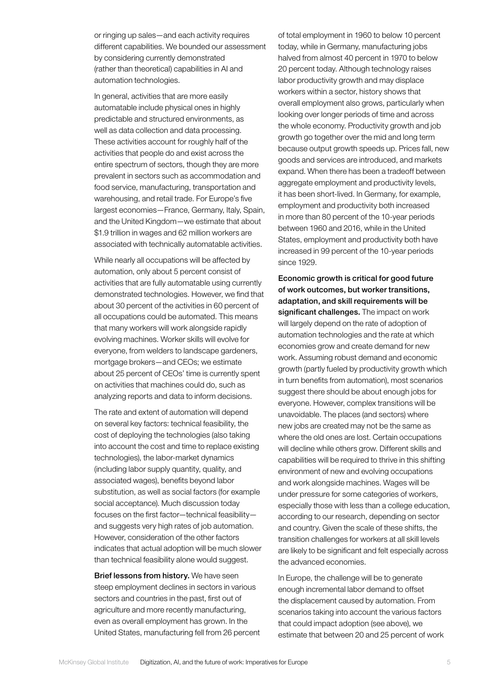or ringing up sales—and each activity requires different capabilities. We bounded our assessment by considering currently demonstrated (rather than theoretical) capabilities in AI and automation technologies.

In general, activities that are more easily automatable include physical ones in highly predictable and structured environments, as well as data collection and data processing. These activities account for roughly half of the activities that people do and exist across the entire spectrum of sectors, though they are more prevalent in sectors such as accommodation and food service, manufacturing, transportation and warehousing, and retail trade. For Europe's five largest economies—France, Germany, Italy, Spain, and the United Kingdom—we estimate that about \$1.9 trillion in wages and 62 million workers are associated with technically automatable activities.

While nearly all occupations will be affected by automation, only about 5 percent consist of activities that are fully automatable using currently demonstrated technologies. However, we find that about 30 percent of the activities in 60 percent of all occupations could be automated. This means that many workers will work alongside rapidly evolving machines. Worker skills will evolve for everyone, from welders to landscape gardeners, mortgage brokers—and CEOs; we estimate about 25 percent of CEOs' time is currently spent on activities that machines could do, such as analyzing reports and data to inform decisions.

The rate and extent of automation will depend on several key factors: technical feasibility, the cost of deploying the technologies (also taking into account the cost and time to replace existing technologies), the labor-market dynamics (including labor supply quantity, quality, and associated wages), benefits beyond labor substitution, as well as social factors (for example social acceptance). Much discussion today focuses on the first factor—technical feasibility and suggests very high rates of job automation. However, consideration of the other factors indicates that actual adoption will be much slower than technical feasibility alone would suggest.

Brief lessons from history. We have seen steep employment declines in sectors in various sectors and countries in the past, first out of agriculture and more recently manufacturing, even as overall employment has grown. In the United States, manufacturing fell from 26 percent

of total employment in 1960 to below 10 percent today, while in Germany, manufacturing jobs halved from almost 40 percent in 1970 to below 20 percent today. Although technology raises labor productivity growth and may displace workers within a sector, history shows that overall employment also grows, particularly when looking over longer periods of time and across the whole economy. Productivity growth and job growth go together over the mid and long term because output growth speeds up. Prices fall, new goods and services are introduced, and markets expand. When there has been a tradeoff between aggregate employment and productivity levels, it has been short-lived. In Germany, for example, employment and productivity both increased in more than 80 percent of the 10-year periods between 1960 and 2016, while in the United States, employment and productivity both have increased in 99 percent of the 10-year periods since 1929.

Economic growth is critical for good future of work outcomes, but worker transitions, adaptation, and skill requirements will be significant challenges. The impact on work will largely depend on the rate of adoption of automation technologies and the rate at which economies grow and create demand for new work. Assuming robust demand and economic growth (partly fueled by productivity growth which in turn benefits from automation), most scenarios suggest there should be about enough jobs for everyone. However, complex transitions will be unavoidable. The places (and sectors) where new jobs are created may not be the same as where the old ones are lost. Certain occupations will decline while others grow. Different skills and capabilities will be required to thrive in this shifting environment of new and evolving occupations and work alongside machines. Wages will be under pressure for some categories of workers, especially those with less than a college education, according to our research, depending on sector and country. Given the scale of these shifts, the transition challenges for workers at all skill levels are likely to be significant and felt especially across the advanced economies.

In Europe, the challenge will be to generate enough incremental labor demand to offset the displacement caused by automation. From scenarios taking into account the various factors that could impact adoption (see above), we estimate that between 20 and 25 percent of work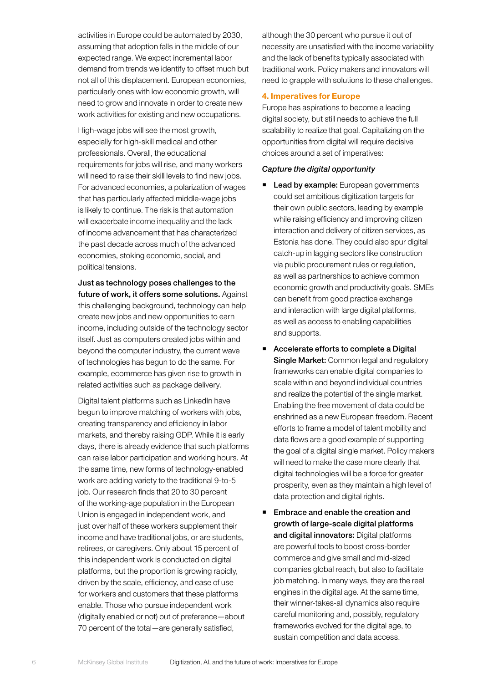activities in Europe could be automated by 2030, assuming that adoption falls in the middle of our expected range. We expect incremental labor demand from trends we identify to offset much but not all of this displacement. European economies, particularly ones with low economic growth, will need to grow and innovate in order to create new work activities for existing and new occupations.

High-wage jobs will see the most growth, especially for high-skill medical and other professionals. Overall, the educational requirements for jobs will rise, and many workers will need to raise their skill levels to find new jobs. For advanced economies, a polarization of wages that has particularly affected middle-wage jobs is likely to continue. The risk is that automation will exacerbate income inequality and the lack of income advancement that has characterized the past decade across much of the advanced economies, stoking economic, social, and political tensions.

Just as technology poses challenges to the future of work, it offers some solutions. Against this challenging background, technology can help create new jobs and new opportunities to earn income, including outside of the technology sector itself. Just as computers created jobs within and beyond the computer industry, the current wave of technologies has begun to do the same. For example, ecommerce has given rise to growth in related activities such as package delivery.

Digital talent platforms such as LinkedIn have begun to improve matching of workers with jobs, creating transparency and efficiency in labor markets, and thereby raising GDP. While it is early days, there is already evidence that such platforms can raise labor participation and working hours. At the same time, new forms of technology-enabled work are adding variety to the traditional 9-to-5 job. Our research finds that 20 to 30 percent of the working-age population in the European Union is engaged in independent work, and just over half of these workers supplement their income and have traditional jobs, or are students, retirees, or caregivers. Only about 15 percent of this independent work is conducted on digital platforms, but the proportion is growing rapidly, driven by the scale, efficiency, and ease of use for workers and customers that these platforms enable. Those who pursue independent work (digitally enabled or not) out of preference—about 70 percent of the total—are generally satisfied,

although the 30 percent who pursue it out of necessity are unsatisfied with the income variability and the lack of benefits typically associated with traditional work. Policy makers and innovators will need to grapple with solutions to these challenges.

## 4. Imperatives for Europe

Europe has aspirations to become a leading digital society, but still needs to achieve the full scalability to realize that goal. Capitalizing on the opportunities from digital will require decisive choices around a set of imperatives:

## Capture the digital opportunity

- Lead by example: European governments could set ambitious digitization targets for their own public sectors, leading by example while raising efficiency and improving citizen interaction and delivery of citizen services, as Estonia has done. They could also spur digital catch-up in lagging sectors like construction via public procurement rules or regulation, as well as partnerships to achieve common economic growth and productivity goals. SMEs can benefit from good practice exchange and interaction with large digital platforms, as well as access to enabling capabilities and supports.
- Accelerate efforts to complete a Digital Single Market: Common legal and regulatory frameworks can enable digital companies to scale within and beyond individual countries and realize the potential of the single market. Enabling the free movement of data could be enshrined as a new European freedom. Recent efforts to frame a model of talent mobility and data flows are a good example of supporting the goal of a digital single market. Policy makers will need to make the case more clearly that digital technologies will be a force for greater prosperity, even as they maintain a high level of data protection and digital rights.
- Embrace and enable the creation and growth of large-scale digital platforms and digital innovators: Digital platforms are powerful tools to boost cross-border commerce and give small and mid-sized companies global reach, but also to facilitate job matching. In many ways, they are the real engines in the digital age. At the same time, their winner-takes-all dynamics also require careful monitoring and, possibly, regulatory frameworks evolved for the digital age, to sustain competition and data access.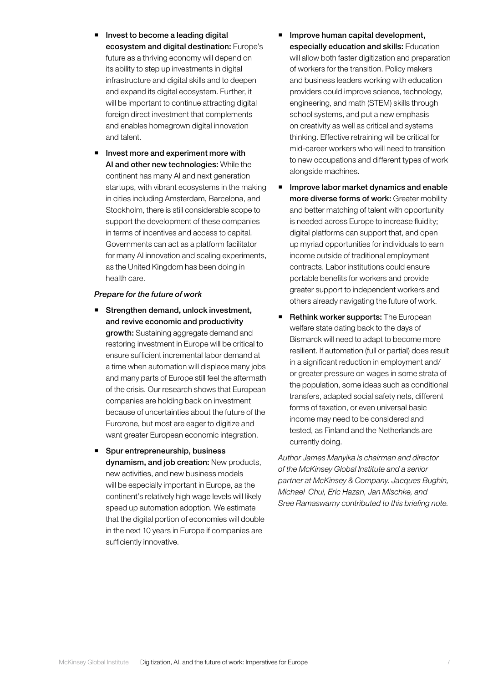- Invest to become a leading digital ecosystem and digital destination: Europe's future as a thriving economy will depend on its ability to step up investments in digital infrastructure and digital skills and to deepen and expand its digital ecosystem. Further, it will be important to continue attracting digital foreign direct investment that complements and enables homegrown digital innovation and talent.
- **I** Invest more and experiment more with AI and other new technologies: While the continent has many AI and next generation startups, with vibrant ecosystems in the making in cities including Amsterdam, Barcelona, and Stockholm, there is still considerable scope to support the development of these companies in terms of incentives and access to capital. Governments can act as a platform facilitator for many AI innovation and scaling experiments, as the United Kingdom has been doing in health care.

#### Prepare for the future of work

- Strengthen demand, unlock investment, and revive economic and productivity growth: Sustaining aggregate demand and restoring investment in Europe will be critical to ensure sufficient incremental labor demand at a time when automation will displace many jobs and many parts of Europe still feel the aftermath of the crisis. Our research shows that European companies are holding back on investment because of uncertainties about the future of the Eurozone, but most are eager to digitize and want greater European economic integration.
- **Spur entrepreneurship, business** dynamism, and job creation: New products, new activities, and new business models will be especially important in Europe, as the continent's relatively high wage levels will likely speed up automation adoption. We estimate that the digital portion of economies will double in the next 10 years in Europe if companies are sufficiently innovative.
- Improve human capital development, especially education and skills: Education will allow both faster digitization and preparation of workers for the transition. Policy makers and business leaders working with education providers could improve science, technology, engineering, and math (STEM) skills through school systems, and put a new emphasis on creativity as well as critical and systems thinking. Effective retraining will be critical for mid-career workers who will need to transition to new occupations and different types of work alongside machines.
- **Improve labor market dynamics and enable** more diverse forms of work: Greater mobility and better matching of talent with opportunity is needed across Europe to increase fluidity; digital platforms can support that, and open up myriad opportunities for individuals to earn income outside of traditional employment contracts. Labor institutions could ensure portable benefits for workers and provide greater support to independent workers and others already navigating the future of work.
- Rethink worker supports: The European welfare state dating back to the days of Bismarck will need to adapt to become more resilient. If automation (full or partial) does result in a significant reduction in employment and/ or greater pressure on wages in some strata of the population, some ideas such as conditional transfers, adapted social safety nets, different forms of taxation, or even universal basic income may need to be considered and tested, as Finland and the Netherlands are currently doing.

*Author James Manyika is chairman and director of the McKinsey Global Institute and a senior partner at McKinsey & Company. Jacques Bughin, Michael Chui, Eric Hazan, Jan Mischke, and Sree Ramaswamy contributed to this briefing note.*